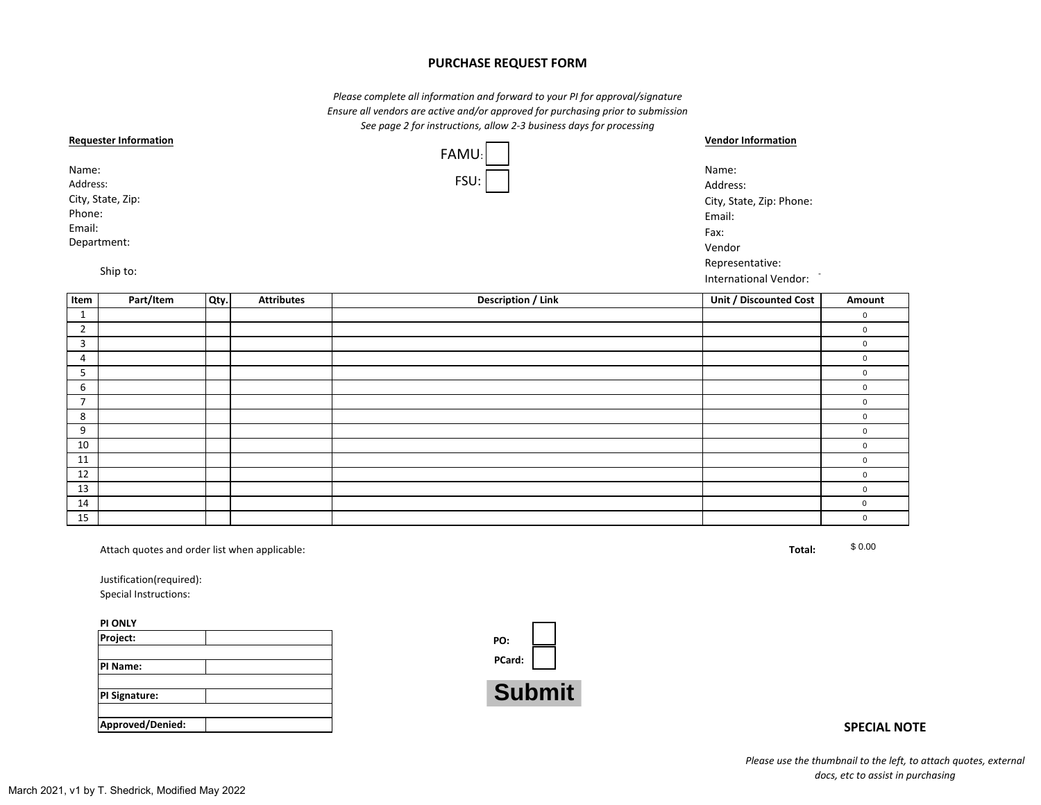## **PURCHASE REQUEST FORM**

*Please complete all information and forward to your PI for approval/signature Ensure all vendors are active and/or approved for purchasing prior to submission See page 2 for instructions, allow 2-3 business days for processing*

| <b>Requester Information</b> |       | <b>Vendor Information</b> |  |
|------------------------------|-------|---------------------------|--|
|                              | FAMU: |                           |  |
| Name:                        |       | Name:<br>Address:         |  |
| Address:                     | FSU:  |                           |  |
| City, State, Zip:            |       | City, State, Zip: Phone:  |  |
| Phone:                       |       | Email:                    |  |
| Email:                       |       | Fax:                      |  |
| Department:                  |       | Vendor                    |  |
|                              |       | Representative:           |  |
| Ship to:                     |       | International Vendor:     |  |

|                | Ship to:                                                                                           |      |                   |                           | International Vendor:  |                     |
|----------------|----------------------------------------------------------------------------------------------------|------|-------------------|---------------------------|------------------------|---------------------|
| Item           | Part/Item                                                                                          | Qty. | <b>Attributes</b> | <b>Description / Link</b> | Unit / Discounted Cost | Amount              |
| $\mathbf{1}$   |                                                                                                    |      |                   |                           |                        | $\mathsf 0$         |
| $\overline{2}$ |                                                                                                    |      |                   |                           |                        | $\mathsf 0$         |
| $\overline{3}$ |                                                                                                    |      |                   |                           |                        | $\mathsf 0$         |
| 4              |                                                                                                    |      |                   |                           |                        | $\pmb{0}$           |
| 5              |                                                                                                    |      |                   |                           |                        | $\mathbf 0$         |
| 6              |                                                                                                    |      |                   |                           |                        | $\mathbf 0$         |
| $\overline{7}$ |                                                                                                    |      |                   |                           |                        | $\,0\,$             |
| 8              |                                                                                                    |      |                   |                           |                        | $\pmb{0}$           |
| 9              |                                                                                                    |      |                   |                           |                        | $\mathsf{O}\xspace$ |
| 10             |                                                                                                    |      |                   |                           |                        | $\pmb{0}$           |
| 11             |                                                                                                    |      |                   |                           |                        | $\mathbf 0$         |
| 12             |                                                                                                    |      |                   |                           |                        | $\pmb{0}$           |
| 13             |                                                                                                    |      |                   |                           |                        | $\mathbf 0$         |
| 14             |                                                                                                    |      |                   |                           |                        | $\pmb{0}$           |
| 15             |                                                                                                    |      |                   |                           |                        | $\mathbf 0$         |
|                | Attach quotes and order list when applicable:<br>Justification(required):<br>Special Instructions: |      |                   |                           | Total:                 | \$0.00              |
|                | PI ONLY                                                                                            |      |                   |                           |                        |                     |
|                | Project:                                                                                           |      |                   | PO:                       |                        |                     |
|                | PI Name:                                                                                           |      |                   | PCard:                    |                        |                     |
|                | PI Signature:                                                                                      |      |                   | <b>Submit</b>             |                        |                     |

| <b>PI ONLY</b>   |  |
|------------------|--|
| Project:         |  |
|                  |  |
| PI Name:         |  |
|                  |  |
| PI Signature:    |  |
|                  |  |
| Approved/Denied: |  |